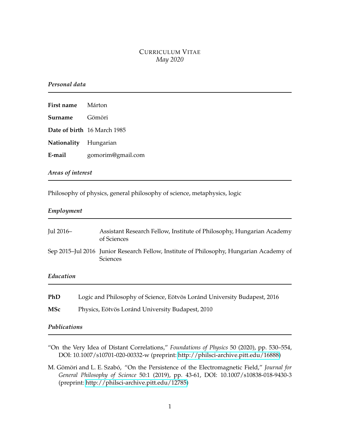# CURRICULUM VITAE *May 2020*

## *Personal data*

| First name Márton     |                             |
|-----------------------|-----------------------------|
| Surname               | Gömöri                      |
|                       | Date of birth 16 March 1985 |
| Nationality Hungarian |                             |
| E-mail                | gomorim@gmail.com           |

## *Areas of interest*

Philosophy of physics, general philosophy of science, metaphysics, logic

### *Employment*

| Jul 2016-    |  | Assistant Research Fellow, Institute of Philosophy, Hungarian Academy<br>of Sciences                       |  |
|--------------|--|------------------------------------------------------------------------------------------------------------|--|
|              |  | Sep 2015–Jul 2016 Junior Research Fellow, Institute of Philosophy, Hungarian Academy of<br><b>Sciences</b> |  |
| Education    |  |                                                                                                            |  |
| PhD          |  | Logic and Philosophy of Science, Eötvös Loránd University Budapest, 2016                                   |  |
| <b>MSc</b>   |  | Physics, Eötvös Loránd University Budapest, 2010                                                           |  |
| Publications |  |                                                                                                            |  |

"On the Very Idea of Distant Correlations," *Foundations of Physics* 50 (2020), pp. 530–554, DOI: 10.1007/s10701-020-00332-w (preprint: [http://philsci-archive.pitt.edu/16888\)](http://philsci-archive.pitt.edu/16888)

M. Gömöri and L. E. Szabó, "On the Persistence of the Electromagnetic Field," *Journal for General Philosophy of Science* 50:1 (2019), pp. 43-61, DOI: 10.1007/s10838-018-9430-3 (preprint: [http://philsci-archive.pitt.edu/12785\)](http://philsci-archive.pitt.edu/12785)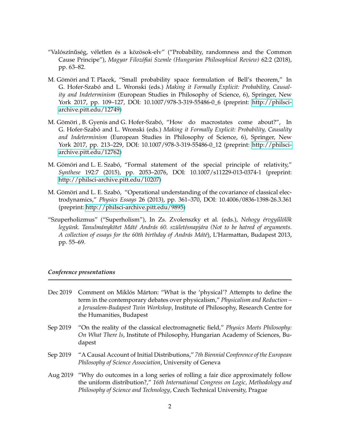- "Valószínűség, véletlen és a közösok-elv" ("Probability, randomness and the Common Cause Principe"), *Magyar Filozófiai Szemle (Hungarian Philosophical Review)* 62:2 (2018), pp. 63–82.
- M. Gömöri and T. Placek, "Small probability space formulation of Bell's theorem," In G. Hofer-Szabó and L. Wronski (eds.) *Making it Formally Explicit: Probability, Causality and Indeterminism* (European Studies in Philosophy of Science, 6), Springer, New York 2017, pp. 109–127, DOI: 10.1007/978-3-319-55486-0\_6 (preprint: [http://philsci](http://philsci-archive.pitt.edu/12749)[archive.pitt.edu/12749\)](http://philsci-archive.pitt.edu/12749)
- M. Gömöri , B. Gyenis and G. Hofer-Szabó, "How do macrostates come about?", In G. Hofer-Szabó and L. Wronski (eds.) *Making it Formally Explicit: Probability, Causality and Indeterminism* (European Studies in Philosophy of Science, 6), Springer, New York 2017, pp. 213–229, DOI: 10.1007/978-3-319-55486-0\_12 (preprint: [http://philsci](http://philsci-archive.pitt.edu/12762)[archive.pitt.edu/12762\)](http://philsci-archive.pitt.edu/12762)
- M. Gömöri and L. E. Szabó, "Formal statement of the special principle of relativity," *Synthese* 192:7 (2015), pp. 2053–2076, DOI: 10.1007/s11229-013-0374-1 (preprint: [http://philsci-archive.pitt.edu/10207\)](http://philsci-archive.pitt.edu/10207)
- M. Gömöri and L. E. Szabó, "Operational understanding of the covariance of classical electrodynamics," *Physics Essays* 26 (2013), pp. 361–370, DOI: 10.4006/0836-1398-26.3.361 (preprint: [http://philsci-archive.pitt.edu/9895\)](http://philsci-archive.pitt.edu/9895)
- "Szuperholizmus" ("Superholism"), In Zs. Zvolenszky et al. (eds.), *Nehogy érvgy ˝ulöl˝ok legyünk. Tanulmánykötet Máté András 60. születésnapjára (Not to be hatred of arguments. A collection of essays for the 60th birthday of András Máté*), L'Harmattan, Budapest 2013, pp. 55–69.

### *Conference presentations*

- Dec 2019 Comment on Miklós Márton: "What is the 'physical'? Attempts to define the term in the contemporary debates over physicalism," *Physicalism and Reduction – a Jerusalem-Budapest Twin Workshop*, Institute of Philosophy, Research Centre for the Humanities, Budapest
- Sep 2019 "On the reality of the classical electromagnetic field," *Physics Meets Philosophy: On What There Is*, Institute of Philosophy, Hungarian Academy of Sciences, Budapest
- Sep 2019 "A Causal Account of Initial Distributions," *7th Biennial Conference of the European Philosophy of Science Association*, University of Geneva
- Aug 2019 "Why do outcomes in a long series of rolling a fair dice approximately follow the uniform distribution?," *16th International Congress on Logic, Methodology and Philosophy of Science and Technology*, Czech Technical University, Prague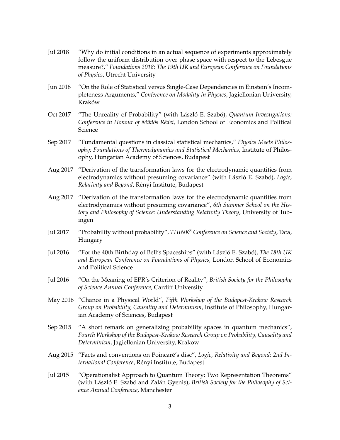- Jul 2018 "Why do initial conditions in an actual sequence of experiments approximately follow the uniform distribution over phase space with respect to the Lebesgue measure?," *Foundations 2018: The 19th UK and European Conference on Foundations of Physics*, Utrecht University
- Jun 2018 "On the Role of Statistical versus Single-Case Dependencies in Einstein's Incompleteness Arguments," *Conference on Modality in Physics*, Jagiellonian University, Kraków
- Oct 2017 "The Unreality of Probability" (with László E. Szabó), *Quantum Investigations: Conference in Honour of Miklós Rédei*, London School of Economics and Political Science
- Sep 2017 "Fundamental questions in classical statistical mechanics," *Physics Meets Philosophy: Foundations of Thermodynamics and Statistical Mechanics*, Institute of Philosophy, Hungarian Academy of Sciences, Budapest
- Aug 2017 "Derivation of the transformation laws for the electrodynamic quantities from electrodynamics without presuming covariance" (with László E. Szabó), *Logic, Relativity and Beyond*, Rényi Institute, Budapest
- Aug 2017 "Derivation of the transformation laws for the electrodynamic quantities from electrodynamics without presuming covariance", *6th Summer School on the History and Philosophy of Science: Understanding Relativity Theory*, University of Tubingen
- Jul 2017 "Probability without probability", *THINK*<sup>3</sup> *Conference on Science and Society*, Tata, Hungary
- Jul 2016 "For the 40th Birthday of Bell's Spaceships" (with László E. Szabó), *The 18th UK and European Conference on Foundations of Physics,* London School of Economics and Political Science
- Jul 2016 "On the Meaning of EPR's Criterion of Reality", *British Society for the Philosophy of Science Annual Conference,* Cardiff University
- May 2016 "Chance in a Physical World", *Fifth Workshop of the Budapest-Krakow Research Group on Probability, Causality and Determinism*, Institute of Philosophy, Hungarian Academy of Sciences, Budapest
- Sep 2015 "A short remark on generalizing probability spaces in quantum mechanics", *Fourth Workshop of the Budapest-Krakow Research Group on Probability, Causality and Determinism*, Jagiellonian University, Krakow
- Aug 2015 "Facts and conventions on Poincaré's disc", *Logic, Relativity and Beyond: 2nd International Conference*, Rényi Institute, Budapest
- Jul 2015 "Operationalist Approach to Quantum Theory: Two Representation Theorems" (with László E. Szabó and Zalán Gyenis), *British Society for the Philosophy of Science Annual Conference,* Manchester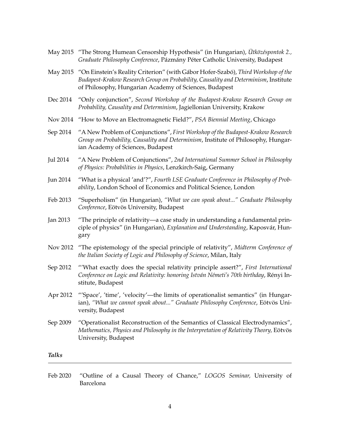- May 2015 "The Strong Humean Censorship Hypothesis" (in Hungarian), *Ütközéspontok 2., Graduate Philosophy Conference*, Pázmány Péter Catholic University, Budapest
- May 2015 "On Einstein's Reality Criterion" (with Gábor Hofer-Szabó), *Third Workshop of the Budapest-Krakow Research Group on Probability, Causality and Determinism*, Institute of Philosophy, Hungarian Academy of Sciences, Budapest
- Dec 2014 "Only conjunction", *Second Workshop of the Budapest-Krakow Research Group on Probability, Causality and Determinism*, Jagiellonian University, Krakow
- Nov 2014 "How to Move an Electromagnetic Field?", *PSA Biennial Meeting*, Chicago
- Sep 2014 "A New Problem of Conjunctions", *First Workshop of the Budapest-Krakow Research Group on Probability, Causality and Determinism*, Institute of Philosophy, Hungarian Academy of Sciences, Budapest
- Jul 2014 "A New Problem of Conjunctions", *2nd International Summer School in Philosophy of Physics: Probabilities in Physics*, Lenzkirch-Saig, Germany
- Jun 2014 "What is a physical 'and'?", *Fourth LSE Graduate Conference in Philosophy of Probability*, London School of Economics and Political Science, London
- Feb 2013 "Superholism" (in Hungarian), *"What we can speak about..." Graduate Philosophy Conference*, Eötvös University, Budapest
- Jan 2013 "The principle of relativity—a case study in understanding a fundamental principle of physics" (in Hungarian), *Explanation and Understanding*, Kaposvár, Hungary
- Nov 2012 "The epistemology of the special principle of relativity", *Midterm Conference of the Italian Society of Logic and Philosophy of Science*, Milan, Italy
- Sep 2012 "'What exactly does the special relativity principle assert?", *First International Conference on Logic and Relativity: honoring István Németi's 70th birthday*, Rényi Institute, Budapest
- Apr 2012 "'Space', 'time', 'velocity'—the limits of operationalist semantics" (in Hungarian), *"What we cannot speak about..." Graduate Philosophy Conference*, Eötvös University, Budapest
- Sep 2009 "Operationalist Reconstruction of the Semantics of Classical Electrodynamics", *Mathematics, Physics and Philosophy in the Interpretation of Relativity Theory,* Eötvös University, Budapest

*Talks*

Feb 2020 "Outline of a Causal Theory of Chance," *LOGOS Seminar,* University of Barcelona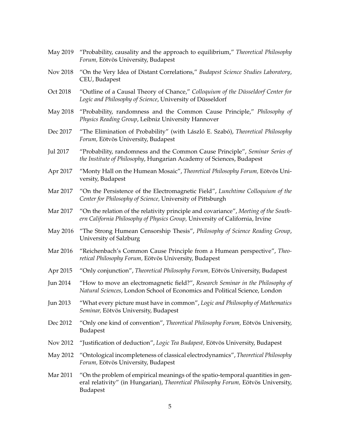- May 2019 "Probability, causality and the approach to equilibrium," *Theoretical Philosophy Forum,* Eötvös University, Budapest
- Nov 2018 "On the Very Idea of Distant Correlations," *Budapest Science Studies Laboratory*, CEU, Budapest
- Oct 2018 "Outline of a Causal Theory of Chance," *Colloquium of the Düsseldorf Center for Logic and Philosophy of Science*, University of Düsseldorf
- May 2018 "Probability, randomness and the Common Cause Principle," *Philosophy of Physics Reading Group*, Leibniz University Hannover
- Dec 2017 "The Elimination of Probability" (with László E. Szabó), *Theoretical Philosophy Forum,* Eötvös University, Budapest
- Jul 2017 "Probability, randomness and the Common Cause Principle", *Seminar Series of the Institute of Philosophy*, Hungarian Academy of Sciences, Budapest
- Apr 2017 "Monty Hall on the Humean Mosaic", *Theoretical Philosophy Forum,* Eötvös University, Budapest
- Mar 2017 "On the Persistence of the Electromagnetic Field", *Lunchtime Colloquium of the Center for Philosophy of Science,* University of Pittsburgh
- Mar 2017 "On the relation of the relativity principle and covariance", *Meeting of the Southern California Philosophy of Physics Group,* University of California, Irvine
- May 2016 "The Strong Humean Censorship Thesis", *Philosophy of Science Reading Group*, University of Salzburg
- Mar 2016 "Reichenbach's Common Cause Principle from a Humean perspective", *Theoretical Philosophy Forum,* Eötvös University, Budapest
- Apr 2015 "Only conjunction", *Theoretical Philosophy Forum,* Eötvös University, Budapest
- Jun 2014 "How to move an electromagnetic field?", *Research Seminar in the Philosophy of Natural Sciences*, London School of Economics and Political Science, London
- Jun 2013 "What every picture must have in common", *Logic and Philosophy of Mathematics Seminar,* Eötvös University, Budapest
- Dec 2012 "Only one kind of convention", *Theoretical Philosophy Forum,* Eötvös University, Budapest
- Nov 2012 "Justification of deduction", *Logic Tea Budapest,* Eötvös University, Budapest
- May 2012 "Ontological incompleteness of classical electrodynamics", *Theoretical Philosophy Forum,* Eötvös University, Budapest
- Mar 2011 "On the problem of empirical meanings of the spatio-temporal quantities in general relativity" (in Hungarian), *Theoretical Philosophy Forum,* Eötvös University, Budapest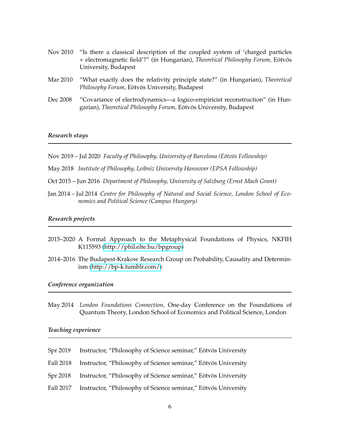- Nov 2010 "Is there a classical description of the coupled system of 'charged particles + electromagnetic field'?" (in Hungarian), *Theoretical Philosophy Forum,* Eötvös University, Budapest
- Mar 2010 "What exactly does the relativity principle state?" (in Hungarian), *Theoretical Philosophy Forum,* Eötvös University, Budapest
- Dec 2008 "Covariance of electrodynamics—a logico-empiricist reconstruction" (in Hungarian), *Theoretical Philosophy Forum,* Eötvös University, Budapest

### *Research stays*

- Nov 2019 Jul 2020 *Faculty of Philosophy, University of Barcelona (Eötvös Fellowship)*
- May 2018 *Institute of Philosophy, Leibniz University Hannover (EPSA Fellowship)*
- Oct 2015 Jun 2016 *Department of Philosophy, University of Salzburg (Ernst Mach Grant)*
- Jan 2014 Jul 2014 *Centre for Philosophy of Natural and Social Science, London School of Economics and Political Science (Campus Hungary)*

#### *Research projects*

- 2015–2020 A Formal Approach to the Metaphysical Foundations of Physics, NKFIH K115593 [\(http://phil.elte.hu/bpgroup\)](http://phil.elte.hu/bpgroup)
- 2014–2016 The Budapest-Krakow Research Group on Probability, Causality and Determinism [\(http://bp-k.tumblr.com/\)](http://bp-k.tumblr.com/)

#### *Conference organization*

May 2014 *London Foundations Connection,* One-day Conference on the Foundations of Quantum Theory, London School of Economics and Political Science, London

#### *Teaching experience*

| Spr 2019  | Instructor, "Philosophy of Science seminar," Eötvös University |
|-----------|----------------------------------------------------------------|
| Fall 2018 | Instructor, "Philosophy of Science seminar," Eötvös University |
| Spr 2018  | Instructor, "Philosophy of Science seminar," Eötvös University |
| Fall 2017 | Instructor, "Philosophy of Science seminar," Eötvös University |